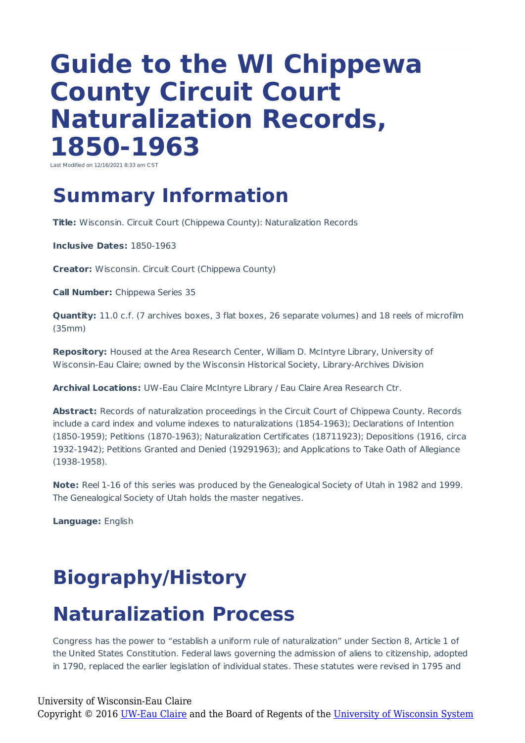# **Guide to the WI Chippewa County Circuit Court Naturalization Records, 1850-1963**

Last Modified on 12/16/2021 8:33 am CST

## **Summary Information**

**Title:** Wisconsin. Circuit Court (Chippewa County): Naturalization Records

**Inclusive Dates:** 1850-1963

**Creator:** Wisconsin. Circuit Court (Chippewa County)

**Call Number:** Chippewa Series 35

**Quantity:** 11.0 c.f. (7 archives boxes, 3 flat boxes, 26 separate volumes) and 18 reels of microfilm (35mm)

**Repository:** Housed at the Area Research Center, William D. McIntyre Library, University of Wisconsin-Eau Claire; owned by the Wisconsin Historical Society, Library-Archives Division

**Archival Locations:** UW-Eau Claire McIntyre Library / Eau Claire Area Research Ctr.

**Abstract:** Records of naturalization proceedings in the Circuit Court of Chippewa County. Records include a card index and volume indexes to naturalizations (1854-1963); Declarations of Intention (1850-1959); Petitions (1870-1963); Naturalization Certificates (18711923); Depositions (1916, circa 1932-1942); Petitions Granted and Denied (19291963); and Applications to Take Oath of Allegiance (1938-1958).

**Note:** Reel 1-16 of this series was produced by the Genealogical Society of Utah in 1982 and 1999. The Genealogical Society of Utah holds the master negatives.

**Language:** English

## **Biography/History**

## **Naturalization Process**

Congress has the power to "establish a uniform rule of naturalization" under Section 8, Article 1 of the United States Constitution. Federal laws governing the admission of aliens to citizenship, adopted in 1790, replaced the earlier legislation of individual states. These statutes were revised in 1795 and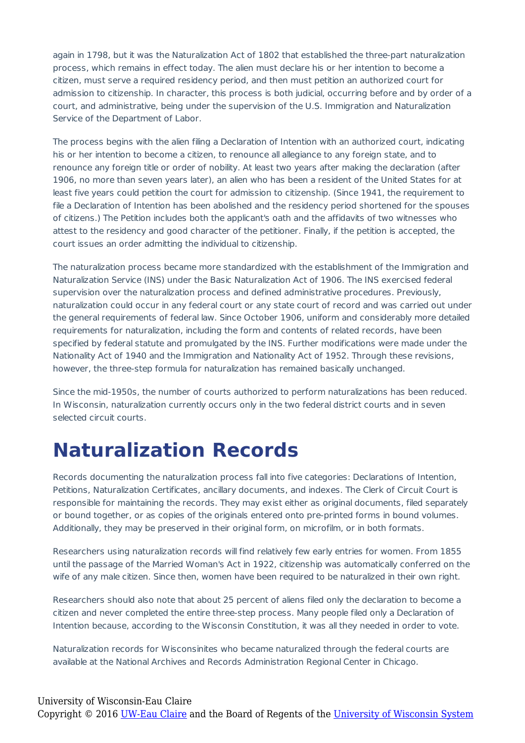again in 1798, but it was the Naturalization Act of 1802 that established the three-part naturalization process, which remains in effect today. The alien must declare his or her intention to become a citizen, must serve a required residency period, and then must petition an authorized court for admission to citizenship. In character, this process is both judicial, occurring before and by order of a court, and administrative, being under the supervision of the U.S. Immigration and Naturalization Service of the Department of Labor.

The process begins with the alien filing a Declaration of Intention with an authorized court, indicating his or her intention to become a citizen, to renounce all allegiance to any foreign state, and to renounce any foreign title or order of nobility. At least two years after making the declaration (after 1906, no more than seven years later), an alien who has been a resident of the United States for at least five years could petition the court for admission to citizenship. (Since 1941, the requirement to file a Declaration of Intention has been abolished and the residency period shortened for the spouses of citizens.) The Petition includes both the applicant's oath and the affidavits of two witnesses who attest to the residency and good character of the petitioner. Finally, if the petition is accepted, the court issues an order admitting the individual to citizenship.

The naturalization process became more standardized with the establishment of the Immigration and Naturalization Service (INS) under the Basic Naturalization Act of 1906. The INS exercised federal supervision over the naturalization process and defined administrative procedures. Previously, naturalization could occur in any federal court or any state court of record and was carried out under the general requirements of federal law. Since October 1906, uniform and considerably more detailed requirements for naturalization, including the form and contents of related records, have been specified by federal statute and promulgated by the INS. Further modifications were made under the Nationality Act of 1940 and the Immigration and Nationality Act of 1952. Through these revisions, however, the three-step formula for naturalization has remained basically unchanged.

Since the mid-1950s, the number of courts authorized to perform naturalizations has been reduced. In Wisconsin, naturalization currently occurs only in the two federal district courts and in seven selected circuit courts.

## **Naturalization Records**

Records documenting the naturalization process fall into five categories: Declarations of Intention, Petitions, Naturalization Certificates, ancillary documents, and indexes. The Clerk of Circuit Court is responsible for maintaining the records. They may exist either as original documents, filed separately or bound together, or as copies of the originals entered onto pre-printed forms in bound volumes. Additionally, they may be preserved in their original form, on microfilm, or in both formats.

Researchers using naturalization records will find relatively few early entries for women. From 1855 until the passage of the Married Woman's Act in 1922, citizenship was automatically conferred on the wife of any male citizen. Since then, women have been required to be naturalized in their own right.

Researchers should also note that about 25 percent of aliens filed only the declaration to become a citizen and never completed the entire three-step process. Many people filed only a Declaration of Intention because, according to the Wisconsin Constitution, it was all they needed in order to vote.

Naturalization records for Wisconsinites who became naturalized through the federal courts are available at the National Archives and Records Administration Regional Center in Chicago.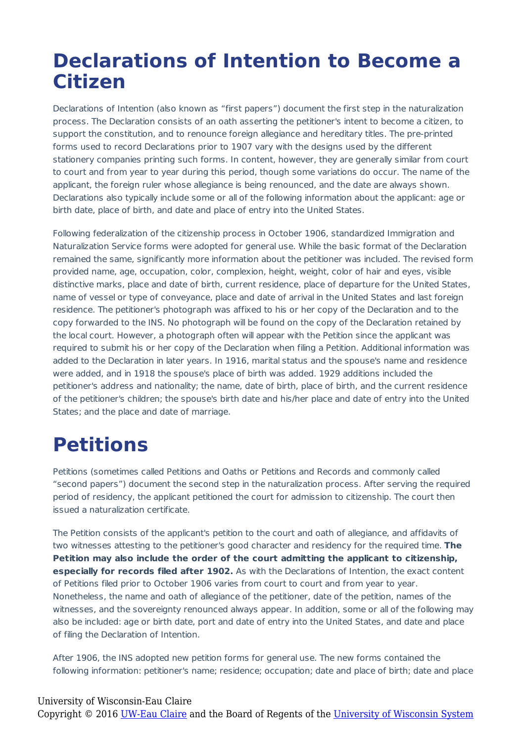## **Declarations of Intention to Become a Citizen**

Declarations of Intention (also known as "first papers") document the first step in the naturalization process. The Declaration consists of an oath asserting the petitioner's intent to become a citizen, to support the constitution, and to renounce foreign allegiance and hereditary titles. The pre-printed forms used to record Declarations prior to 1907 vary with the designs used by the different stationery companies printing such forms. In content, however, they are generally similar from court to court and from year to year during this period, though some variations do occur. The name of the applicant, the foreign ruler whose allegiance is being renounced, and the date are always shown. Declarations also typically include some or all of the following information about the applicant: age or birth date, place of birth, and date and place of entry into the United States.

Following federalization of the citizenship process in October 1906, standardized Immigration and Naturalization Service forms were adopted for general use. While the basic format of the Declaration remained the same, significantly more information about the petitioner was included. The revised form provided name, age, occupation, color, complexion, height, weight, color of hair and eyes, visible distinctive marks, place and date of birth, current residence, place of departure for the United States, name of vessel or type of conveyance, place and date of arrival in the United States and last foreign residence. The petitioner's photograph was affixed to his or her copy of the Declaration and to the copy forwarded to the INS. No photograph will be found on the copy of the Declaration retained by the local court. However, a photograph often will appear with the Petition since the applicant was required to submit his or her copy of the Declaration when filing a Petition. Additional information was added to the Declaration in later years. In 1916, marital status and the spouse's name and residence were added, and in 1918 the spouse's place of birth was added. 1929 additions included the petitioner's address and nationality; the name, date of birth, place of birth, and the current residence of the petitioner's children; the spouse's birth date and his/her place and date of entry into the United States; and the place and date of marriage.

## **Petitions**

Petitions (sometimes called Petitions and Oaths or Petitions and Records and commonly called "second papers") document the second step in the naturalization process. After serving the required period of residency, the applicant petitioned the court for admission to citizenship. The court then issued a naturalization certificate.

The Petition consists of the applicant's petition to the court and oath of allegiance, and affidavits of two witnesses attesting to the petitioner's good character and residency for the required time. **The Petition may also include the order of the court admitting the applicant to citizenship, especially for records filed after 1902.** As with the Declarations of Intention, the exact content of Petitions filed prior to October 1906 varies from court to court and from year to year. Nonetheless, the name and oath of allegiance of the petitioner, date of the petition, names of the witnesses, and the sovereignty renounced always appear. In addition, some or all of the following may also be included: age or birth date, port and date of entry into the United States, and date and place of filing the Declaration of Intention.

After 1906, the INS adopted new petition forms for general use. The new forms contained the following information: petitioner's name; residence; occupation; date and place of birth; date and place

#### University of Wisconsin-Eau Claire Copyright © 2016 [UW-Eau Claire](http://www.uwec.edu) and the Board of Regents of the [University of Wisconsin System](http://www.uwsa.edu/)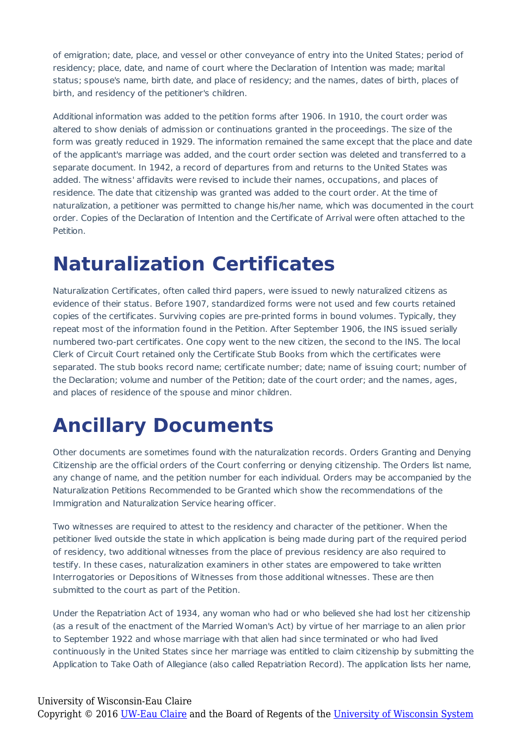of emigration; date, place, and vessel or other conveyance of entry into the United States; period of residency; place, date, and name of court where the Declaration of Intention was made; marital status; spouse's name, birth date, and place of residency; and the names, dates of birth, places of birth, and residency of the petitioner's children.

Additional information was added to the petition forms after 1906. In 1910, the court order was altered to show denials of admission or continuations granted in the proceedings. The size of the form was greatly reduced in 1929. The information remained the same except that the place and date of the applicant's marriage was added, and the court order section was deleted and transferred to a separate document. In 1942, a record of departures from and returns to the United States was added. The witness' affidavits were revised to include their names, occupations, and places of residence. The date that citizenship was granted was added to the court order. At the time of naturalization, a petitioner was permitted to change his/her name, which was documented in the court order. Copies of the Declaration of Intention and the Certificate of Arrival were often attached to the Petition.

## **Naturalization Certificates**

Naturalization Certificates, often called third papers, were issued to newly naturalized citizens as evidence of their status. Before 1907, standardized forms were not used and few courts retained copies of the certificates. Surviving copies are pre-printed forms in bound volumes. Typically, they repeat most of the information found in the Petition. After September 1906, the INS issued serially numbered two-part certificates. One copy went to the new citizen, the second to the INS. The local Clerk of Circuit Court retained only the Certificate Stub Books from which the certificates were separated. The stub books record name; certificate number; date; name of issuing court; number of the Declaration; volume and number of the Petition; date of the court order; and the names, ages, and places of residence of the spouse and minor children.

## **Ancillary Documents**

Other documents are sometimes found with the naturalization records. Orders Granting and Denying Citizenship are the official orders of the Court conferring or denying citizenship. The Orders list name, any change of name, and the petition number for each individual. Orders may be accompanied by the Naturalization Petitions Recommended to be Granted which show the recommendations of the Immigration and Naturalization Service hearing officer.

Two witnesses are required to attest to the residency and character of the petitioner. When the petitioner lived outside the state in which application is being made during part of the required period of residency, two additional witnesses from the place of previous residency are also required to testify. In these cases, naturalization examiners in other states are empowered to take written Interrogatories or Depositions of Witnesses from those additional witnesses. These are then submitted to the court as part of the Petition.

Under the Repatriation Act of 1934, any woman who had or who believed she had lost her citizenship (as a result of the enactment of the Married Woman's Act) by virtue of her marriage to an alien prior to September 1922 and whose marriage with that alien had since terminated or who had lived continuously in the United States since her marriage was entitled to claim citizenship by submitting the Application to Take Oath of Allegiance (also called Repatriation Record). The application lists her name,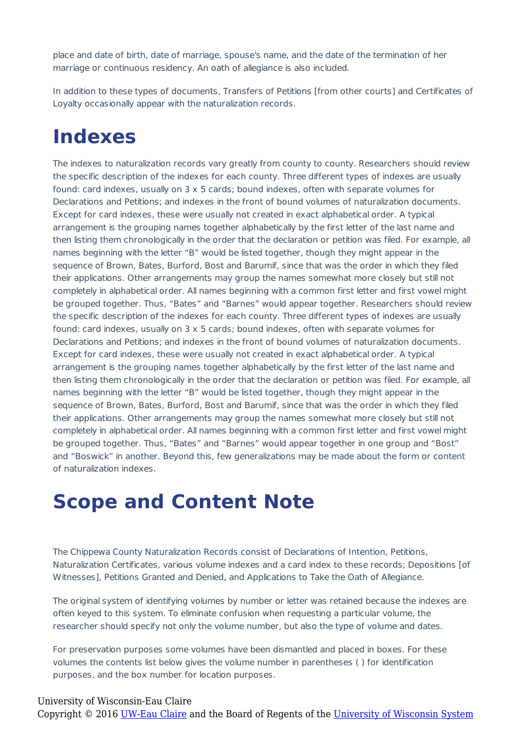place and date of birth, date of marriage, spouse's name, and the date of the termination of her marriage or continuous residency. An oath of allegiance is also included.

In addition to these types of documents, Transfers of Petitions [from other courts] and Certificates of Loyalty occasionally appear with the naturalization records.

### **Indexes**

The indexes to naturalization records vary greatly from county to county. Researchers should review the specific description of the indexes for each county. Three different types of indexes are usually found: card indexes, usually on 3 x 5 cards; bound indexes, often with separate volumes for Declarations and Petitions; and indexes in the front of bound volumes of naturalization documents. Except for card indexes, these were usually not created in exact alphabetical order. A typical arrangement is the grouping names together alphabetically by the first letter of the last name and then listing them chronologically in the order that the declaration or petition was filed. For example, all names beginning with the letter "B" would be listed together, though they might appear in the sequence of Brown, Bates, Burford, Bost and Barumif, since that was the order in which they filed their applications. Other arrangements may group the names somewhat more closely but still not completely in alphabetical order. All names beginning with a common first letter and first vowel might be grouped together. Thus, "Bates" and "Barnes" would appear together. Researchers should review the specific description of the indexes for each county. Three different types of indexes are usually found: card indexes, usually on 3 x 5 cards; bound indexes, often with separate volumes for Declarations and Petitions; and indexes in the front of bound volumes of naturalization documents. Except for card indexes, these were usually not created in exact alphabetical order. A typical arrangement is the grouping names together alphabetically by the first letter of the last name and then listing them chronologically in the order that the declaration or petition was filed. For example, all names beginning with the letter "B" would be listed together, though they might appear in the sequence of Brown, Bates, Burford, Bost and Barumif, since that was the order in which they filed their applications. Other arrangements may group the names somewhat more closely but still not completely in alphabetical order. All names beginning with a common first letter and first vowel might be grouped together. Thus, "Bates" and "Barnes" would appear together in one group and "Bost" and "Boswick" in another. Beyond this, few generalizations may be made about the form or content of naturalization indexes.

### **Scope and Content Note**

The Chippewa County Naturalization Records consist of Declarations of Intention, Petitions, Naturalization Certificates, various volume indexes and a card index to these records; Depositions [of Witnesses], Petitions Granted and Denied, and Applications to Take the Oath of Allegiance.

The original system of identifying volumes by number or letter was retained because the indexes are often keyed to this system. To eliminate confusion when requesting a particular volume, the researcher should specify not only the volume number, but also the type of volume and dates.

For preservation purposes some volumes have been dismantled and placed in boxes. For these volumes the contents list below gives the volume number in parentheses ( ) for identification purposes, and the box number for location purposes.

#### University of Wisconsin-Eau Claire

Copyright © 2016 [UW-Eau Claire](http://www.uwec.edu) and the Board of Regents of the [University of Wisconsin System](http://www.uwsa.edu/)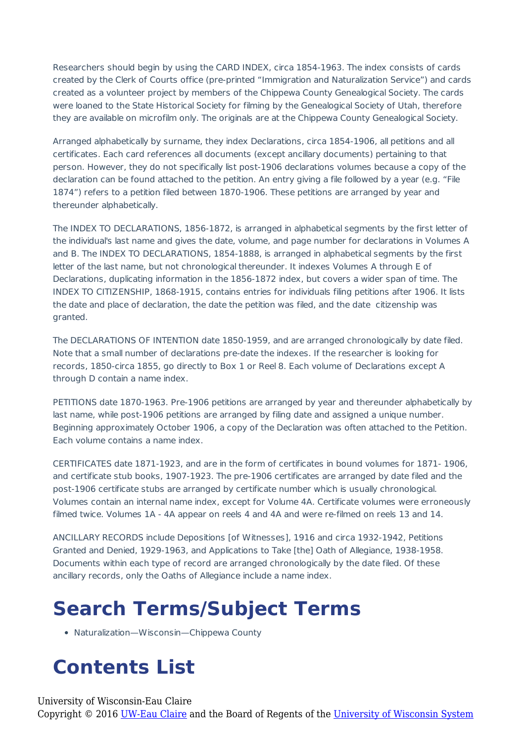Researchers should begin by using the CARD INDEX, circa 1854-1963. The index consists of cards created by the Clerk of Courts office (pre-printed "Immigration and Naturalization Service") and cards created as a volunteer project by members of the Chippewa County Genealogical Society. The cards were loaned to the State Historical Society for filming by the Genealogical Society of Utah, therefore they are available on microfilm only. The originals are at the Chippewa County Genealogical Society.

Arranged alphabetically by surname, they index Declarations, circa 1854-1906, all petitions and all certificates. Each card references all documents (except ancillary documents) pertaining to that person. However, they do not specifically list post-1906 declarations volumes because a copy of the declaration can be found attached to the petition. An entry giving a file followed by a year (e.g. "File 1874") refers to a petition filed between 1870-1906. These petitions are arranged by year and thereunder alphabetically.

The INDEX TO DECLARATIONS, 1856-1872, is arranged in alphabetical segments by the first letter of the individual's last name and gives the date, volume, and page number for declarations in Volumes A and B. The INDEX TO DECLARATIONS, 1854-1888, is arranged in alphabetical segments by the first letter of the last name, but not chronological thereunder. It indexes Volumes A through E of Declarations, duplicating information in the 1856-1872 index, but covers a wider span of time. The INDEX TO CITIZENSHIP, 1868-1915, contains entries for individuals filing petitions after 1906. It lists the date and place of declaration, the date the petition was filed, and the date citizenship was granted.

The DECLARATIONS OF INTENTION date 1850-1959, and are arranged chronologically by date filed. Note that a small number of declarations pre-date the indexes. If the researcher is looking for records, 1850-circa 1855, go directly to Box 1 or Reel 8. Each volume of Declarations except A through D contain a name index.

PETITIONS date 1870-1963. Pre-1906 petitions are arranged by year and thereunder alphabetically by last name, while post-1906 petitions are arranged by filing date and assigned a unique number. Beginning approximately October 1906, a copy of the Declaration was often attached to the Petition. Each volume contains a name index.

CERTIFICATES date 1871-1923, and are in the form of certificates in bound volumes for 1871- 1906, and certificate stub books, 1907-1923. The pre-1906 certificates are arranged by date filed and the post-1906 certificate stubs are arranged by certificate number which is usually chronological. Volumes contain an internal name index, except for Volume 4A. Certificate volumes were erroneously filmed twice. Volumes 1A - 4A appear on reels 4 and 4A and were re-filmed on reels 13 and 14.

ANCILLARY RECORDS include Depositions [of Witnesses], 1916 and circa 1932-1942, Petitions Granted and Denied, 1929-1963, and Applications to Take [the] Oath of Allegiance, 1938-1958. Documents within each type of record are arranged chronologically by the date filed. Of these ancillary records, only the Oaths of Allegiance include a name index.

## **Search Terms/Subject Terms**

Naturalization—Wisconsin—Chippewa County

## **Contents List**

University of Wisconsin-Eau Claire Copyright © 2016 [UW-Eau Claire](http://www.uwec.edu) and the Board of Regents of the [University of Wisconsin System](http://www.uwsa.edu/)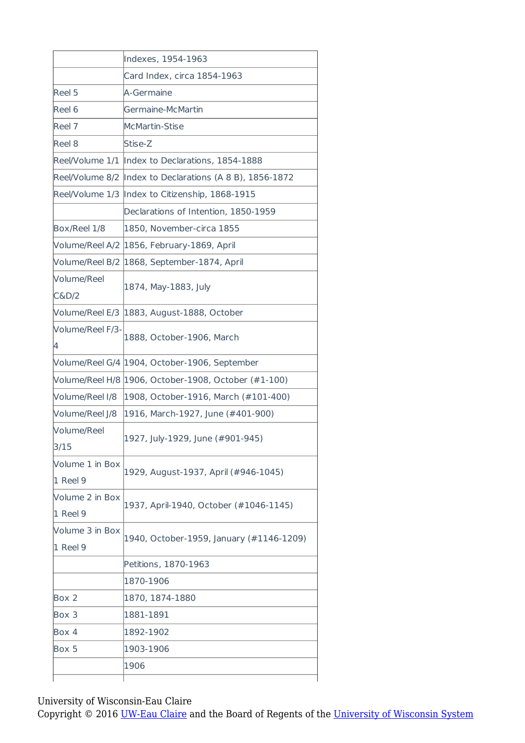|                             | Indexes, 1954-1963                                       |
|-----------------------------|----------------------------------------------------------|
|                             | Card Index, circa 1854-1963                              |
| Reel 5                      | A-Germaine                                               |
| Reel 6                      | Germaine-McMartin                                        |
| Reel 7                      | <b>McMartin-Stise</b>                                    |
| Reel 8                      | Stise-Z                                                  |
|                             | Reel/Volume 1/1 Index to Declarations, 1854-1888         |
|                             | Reel/Volume 8/2 Index to Declarations (A 8 B), 1856-1872 |
| Reel/Volume 1/3             | Index to Citizenship, 1868-1915                          |
|                             | Declarations of Intention, 1850-1959                     |
| Box/Reel 1/8                | 1850, November-circa 1855                                |
|                             | Volume/Reel A/2 2856, February-1869, April               |
| Volume/Reel B/2             | 1868, September-1874, April                              |
| Volume/Reel<br>C&D/2        | 1874, May-1883, July                                     |
| Volume/Reel E/3             | 1883, August-1888, October                               |
| Volume/Reel F/3-<br>4       | 1888, October-1906, March                                |
|                             | Volume/Reel G/4 2904, October-1906, September            |
|                             | Volume/Reel H/8 2006, October-1908, October (#1-100)     |
| Volume/Reel I/8             | 1908, October-1916, March (#101-400)                     |
| Volume/Reel J/8             | 1916, March-1927, June (#401-900)                        |
| Volume/Reel<br>3/15         | 1927, July-1929, June (#901-945)                         |
| Volume 1 in Box<br>1 Reel 9 | 1929, August-1937, April (#946-1045)                     |
| Volume 2 in Box<br>1 Reel 9 | 1937, April-1940, October (#1046-1145)                   |
| Volume 3 in Box<br>1 Reel 9 | 1940, October-1959, January (#1146-1209)                 |
|                             | Petitions, 1870-1963                                     |
|                             | 1870-1906                                                |
| Box 2                       | 1870, 1874-1880                                          |
| Box 3                       | 1881-1891                                                |
| Box 4                       | 1892-1902                                                |
|                             |                                                          |
| Box 5                       | 1903-1906                                                |

University of Wisconsin-Eau Claire

Copyright © 2016 [UW-Eau Claire](http://www.uwec.edu) and the Board of Regents of the [University of Wisconsin System](http://www.uwsa.edu/)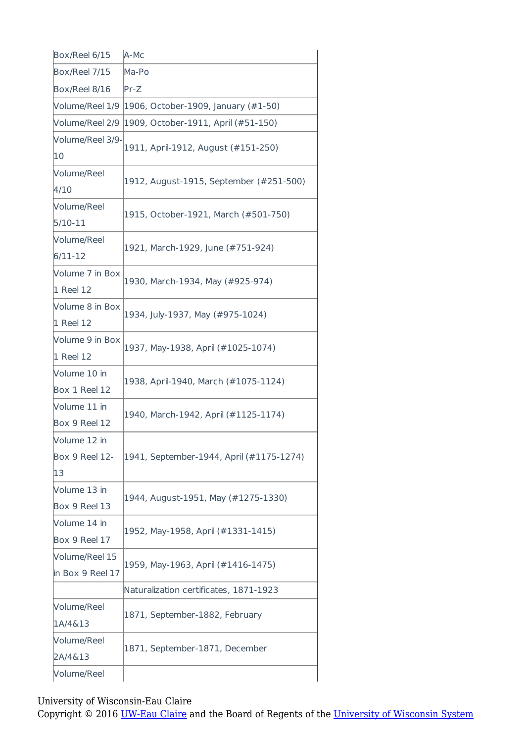| Box/Reel 6/15                        | A-Mc                                     |
|--------------------------------------|------------------------------------------|
| Box/Reel 7/15                        | Ma-Po                                    |
| Box/Reel 8/16                        | $Pr-Z$                                   |
| Volume/Reel 1/9                      | [1906, October-1909, January (#1-50)     |
| Volume/Reel 2/9                      | 1909, October-1911, April (#51-150)      |
| Volume/Reel 3/9-<br>10               | 1911, April-1912, August (#151-250)      |
| Volume/Reel<br>4/10                  | 1912, August-1915, September (#251-500)  |
| Volume/Reel<br>$5/10-11$             | 1915, October-1921, March (#501-750)     |
| Volume/Reel<br>$6/11 - 12$           | 1921, March-1929, June (#751-924)        |
| Volume 7 in Box<br>1 Reel 12         | 1930, March-1934, May (#925-974)         |
| Volume 8 in Box<br>1 Reel 12         | 1934, July-1937, May (#975-1024)         |
| Volume 9 in Box<br>1 Reel 12         | 1937, May-1938, April (#1025-1074)       |
| Volume 10 in<br>Box 1 Reel 12        | 1938, April-1940, March (#1075-1124)     |
| Volume 11 in<br>Box 9 Reel 12        | 1940, March-1942, April (#1125-1174)     |
| Volume 12 in<br>Box 9 Reel 12-<br>13 | 1941, September-1944, April (#1175-1274) |
| Volume 13 in<br>Box 9 Reel 13        | 1944, August-1951, May (#1275-1330)      |
| Volume 14 in<br>Box 9 Reel 17        | 1952, May-1958, April (#1331-1415)       |
| Volume/Reel 15<br>in Box 9 Reel 17   | 1959, May-1963, April (#1416-1475)       |
|                                      | Naturalization certificates, 1871-1923   |
| Volume/Reel<br>1A/4&13               | 1871, September-1882, February           |
| Volume/Reel<br>2A/4&13               | 1871, September-1871, December           |
| Volume/Reel                          |                                          |
|                                      |                                          |

University of Wisconsin-Eau Claire

Copyright © 2016 [UW-Eau Claire](http://www.uwec.edu) and the Board of Regents of the [University of Wisconsin System](http://www.uwsa.edu/)